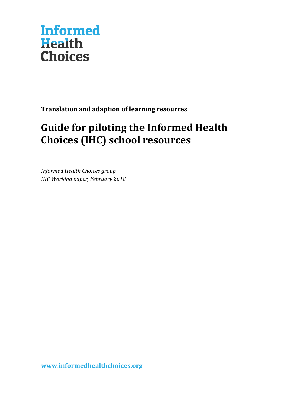

**Translation and adaption of learning resources**

## **Guide for piloting the Informed Health Choices (IHC) school resources**

*Informed Health Choices group IHC Working paper, February 2018*

**[www.informedhealthchoices.org](http://www.informedhealthchoices.org/)**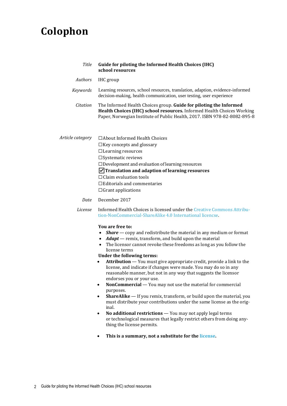## **Colophon**

| <b>Title</b>     | Guide for piloting the Informed Health Choices (IHC)<br>school resources                                                                                                                                                                                                                                                                                                                                                                                                                     |
|------------------|----------------------------------------------------------------------------------------------------------------------------------------------------------------------------------------------------------------------------------------------------------------------------------------------------------------------------------------------------------------------------------------------------------------------------------------------------------------------------------------------|
| Authors          | IHC group                                                                                                                                                                                                                                                                                                                                                                                                                                                                                    |
| Keywords         | Learning resources, school resources, translation, adaption, evidence-informed<br>decision-making, health communication, user testing, user experience                                                                                                                                                                                                                                                                                                                                       |
| Citation         | The Informed Health Choices group. Guide for piloting the Informed<br>Health Choices (IHC) school resources. Informed Health Choices Working<br>Paper, Norwegian Institute of Public Health, 2017. ISBN 978-82-8082-895-8                                                                                                                                                                                                                                                                    |
| Article category | $\Box$ About Informed Health Choices<br>$\Box$ Key concepts and glossary<br>$\Box$ Learning resources<br>$\square$ Systematic reviews<br>$\Box$ Development and evaluation of learning resources<br>$\sqrt{\ }$ Translation and adaption of learning resources<br>$\Box$ Claim evaluation tools<br>$\Box$ Editorials and commentaries<br>$\Box$ Grant applications                                                                                                                           |
| Date             | December 2017                                                                                                                                                                                                                                                                                                                                                                                                                                                                                |
| License          | Informed Health Choices is licensed under the Creative Commons Attribu-<br>tion-NonCommercial-ShareAlike 4.0 International licencse.                                                                                                                                                                                                                                                                                                                                                         |
|                  | You are free to:<br><b>Share</b> $\sim$ copy and redistribute the material in any medium or format<br>$\bullet$<br>• <b><i>Adapt</i></b> — remix, transform, and build upon the material<br>The licensor cannot revoke these freedoms as long as you follow the<br>$\bullet$<br>license terms<br>Under the following terms:<br><b>Attribution</b> — You must give appropriate credit, provide a link to the<br>$\bullet$<br>license, and indicate if changes were made. You may do so in any |

- reasonable manner, but not in any way that suggests the licensor endorses you or your use.
- **NonCommercial** You may not use the material for [commercial](https://creativecommons.org/licenses/by-nc-sa/4.0/)  [purposes.](https://creativecommons.org/licenses/by-nc-sa/4.0/)
- **ShareAlike** If you remix, transform, or build upon the material, you must distribute your contributions under the [same license](https://creativecommons.org/licenses/by-nc-sa/4.0/) as the original.
- **No additional restrictions** You may not apply legal terms or [technological measures](https://creativecommons.org/licenses/by-nc-sa/4.0/) that legally restrict others from doing anything the license permits.
- **This is a summary, not a substitute for the [license.](https://creativecommons.org/licenses/by-nc-sa/4.0/legalcode)**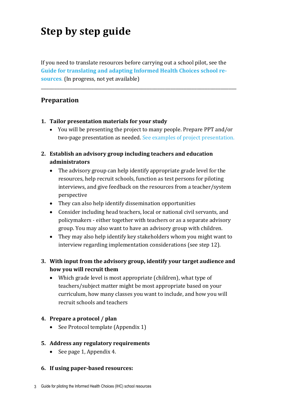# **Step by step guide**

If you need to translate resources before carrying out a school pilot, see the **Guide for translating and adapting [Informed Health Choices school re](https://www.dropbox.com/sh/js9pu331zj6nvbc/AACWPQ7F_1EUp88yZMz8kSUya?dl=0)[sources](https://www.dropbox.com/sh/js9pu331zj6nvbc/AACWPQ7F_1EUp88yZMz8kSUya?dl=0)**. (In progress, not yet available)

\_\_\_\_\_\_\_\_\_\_\_\_\_\_\_\_\_\_\_\_\_\_\_\_\_\_\_\_\_\_\_\_\_\_\_\_\_\_\_\_\_\_\_\_\_\_\_\_\_\_\_\_\_\_\_\_\_\_\_\_\_\_\_\_\_\_\_\_\_\_\_\_\_\_

### **Preparation**

- **1. Tailor presentation materials for your study**
	- You will be presenting the project to many people. Prepare PPT and/or two-page presentation as needed. [See examples of project presentation.](https://www.dropbox.com/sh/n5y3y75ainxb6g8/AAB1T7p7EAHilf1YyLLwOMMqa?dl=0)
- **2. Establish an advisory group including teachers and education administrators**
	- The advisory group can help identify appropriate grade level for the resources, help recruit schools, function as test persons for piloting interviews, and give feedback on the resources from a teacher/system perspective
	- They can also help identify dissemination opportunities
	- Consider including head teachers, local or national civil servants, and policymakers - either together with teachers or as a separate advisory group. You may also want to have an advisory group with children.
	- They may also help identify key stakeholders whom you might want to interview regarding implementation considerations (see step 12).
- **3. With input from the advisory group, identify your target audience and how you will recruit them**
	- Which grade level is most appropriate (children), what type of teachers/subject matter might be most appropriate based on your curriculum, how many classes you want to include, and how you will recruit schools and teachers
- **4. Prepare a protocol / plan** 
	- See Protocol template (Appendix 1)
- **5. Address any regulatory requirements**
	- See page 1, Appendix 4.
- **6. If using paper-based resources:**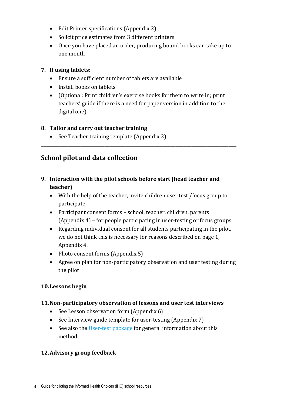- Edit Printer specifications (Appendix 2)
- Solicit price estimates from 3 different printers
- Once you have placed an order, producing bound books can take up to one month

#### **7. If using tablets:**

- Ensure a sufficient number of tablets are available
- Install books on tablets
- (Optional: Print children's exercise books for them to write in; print teachers' guide if there is a need for paper version in addition to the digital one).

\_\_\_\_\_\_\_\_\_\_\_\_\_\_\_\_\_\_\_\_\_\_\_\_\_\_\_\_\_\_\_\_\_\_\_\_\_\_\_\_\_\_\_\_\_\_\_\_\_\_\_\_\_\_\_\_\_\_\_\_\_\_\_\_\_\_\_\_\_\_\_\_\_\_

#### **8. Tailor and carry out teacher training**

• See Teacher training template (Appendix 3)

## **School pilot and data collection**

- **9. Interaction with the pilot schools before start (head teacher and teacher)** 
	- With the help of the teacher, invite children user test /focus group to participate
	- Participant consent forms school, teacher, children, parents (Appendix 4) – for people participating in user-testing or focus groups.
	- Regarding individual consent for all students participating in the pilot, we do not think this is necessary for reasons described on page 1, Appendix 4.
	- Photo consent forms (Appendix 5)
	- Agree on plan for non-participatory observation and user testing during the pilot

#### **10.Lessons begin**

#### **11.Non-participatory observation of lessons and user test interviews**

- See Lesson observation form (Appendix 6)
- See Interview guide template for user-testing (Appendix 7)
- See also the [User-test package](https://www.dropbox.com/sh/q4ip3o33czkktuj/AADV3w1_IOi4KyPkHN21mY_5a?dl=0) for general information about this method.

#### **12.Advisory group feedback**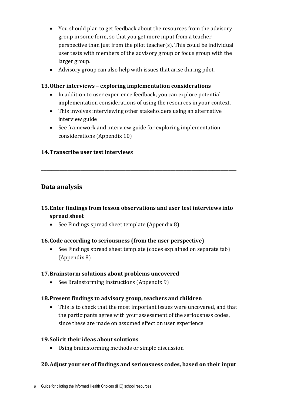- You should plan to get feedback about the resources from the advisory group in some form, so that you get more input from a teacher perspective than just from the pilot teacher(s). This could be individual user tests with members of the advisory group or focus group with the larger group.
- Advisory group can also help with issues that arise during pilot.

#### **13.Other interviews – exploring implementation considerations**

- In addition to user experience feedback, you can explore potential implementation considerations of using the resources in your context.
- This involves interviewing other stakeholders using an alternative interview guide
- See framework and interview guide for exploring implementation considerations (Appendix 10)

#### **14.Transcribe user test interviews**

## **Data analysis**

#### **15.Enter findings from lesson observations and user test interviews into spread sheet**

\_\_\_\_\_\_\_\_\_\_\_\_\_\_\_\_\_\_\_\_\_\_\_\_\_\_\_\_\_\_\_\_\_\_\_\_\_\_\_\_\_\_\_\_\_\_\_\_\_\_\_\_\_\_\_\_\_\_\_\_\_\_\_\_\_\_\_\_\_\_\_\_\_\_

• See Findings spread sheet template (Appendix 8)

#### **16.Code according to seriousness (from the user perspective)**

• See Findings spread sheet template (codes explained on separate tab) (Appendix 8)

#### **17.Brainstorm solutions about problems uncovered**

• See Brainstorming instructions (Appendix 9)

#### **18.Present findings to advisory group, teachers and children**

• This is to check that the most important issues were uncovered, and that the participants agree with your assessment of the seriousness codes, since these are made on assumed effect on user experience

#### **19.Solicit their ideas about solutions**

• Using brainstorming methods or simple discussion

#### **20.Adjust your set of findings and seriousness codes, based on their input**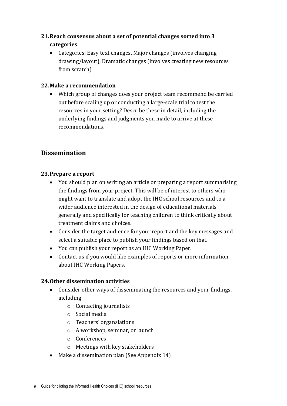### **21.Reach consensus about a set of potential changes sorted into 3 categories**

• Categories: Easy text changes, Major changes (involves changing drawing/layout), Dramatic changes (involves creating new resources from scratch)

#### **22.Make a recommendation**

• Which group of changes does your project team recommend be carried out before scaling up or conducting a large-scale trial to test the resources in your setting? Describe these in detail, including the underlying findings and judgments you made to arrive at these recommendations.

\_\_\_\_\_\_\_\_\_\_\_\_\_\_\_\_\_\_\_\_\_\_\_\_\_\_\_\_\_\_\_\_\_\_\_\_\_\_\_\_\_\_\_\_\_\_\_\_\_\_\_\_\_\_\_\_\_\_\_\_\_\_\_\_\_\_\_\_\_\_\_\_\_\_

## **Dissemination**

#### **23.Prepare a report**

- You should plan on writing an article or preparing a report summarising the findings from your project. This will be of interest to others who might want to translate and adopt the IHC school resources and to a wider audience interested in the design of educational materials generally and specifically for teaching children to think critically about treatment claims and choices.
- Consider the target audience for your report and the key messages and select a suitable place to publish your findings based on that.
- You can publish your report as an IHC Working Paper.
- Contact us if you would like examples of reports or more information about IHC Working Papers.

#### **24.Other dissemination activities**

- Consider other ways of disseminating the resources and your findings, including
	- o Contacting journalists
	- o Social media
	- o Teachers' organsiations
	- o A workshop, seminar, or launch
	- o Conferences
	- o Meetings with key stakeholders
- Make a dissemination plan (See Appendix 14)